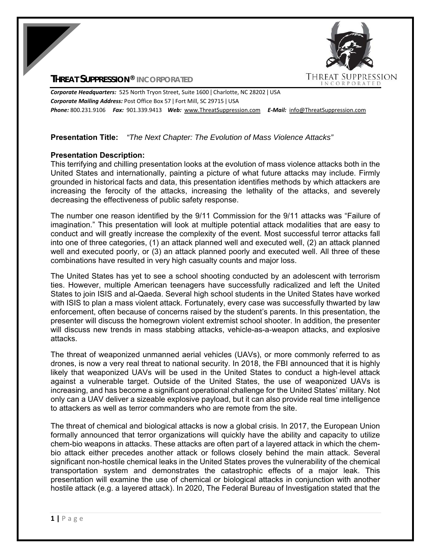## **THREAT SUPPRESSION® INCORPORATED**



*Corporate Headquarters:* 525 North Tryon Street, Suite 1600 ǀ Charlotte, NC 28202 ǀ USA *Corporate Mailing Address:* Post Office Box 57 ǀ Fort Mill, SC 29715 ǀ USA *Phone:* 800.231.9106  *Fax:* 901.339.9413 *Web:* www.ThreatSuppression.com *E‐Mail:*  info@ThreatSuppression.com

# **Presentation Title:** *"The Next Chapter: The Evolution of Mass Violence Attacks"*

## **Presentation Description:**

This terrifying and chilling presentation looks at the evolution of mass violence attacks both in the United States and internationally, painting a picture of what future attacks may include. Firmly grounded in historical facts and data, this presentation identifies methods by which attackers are increasing the ferocity of the attacks, increasing the lethality of the attacks, and severely decreasing the effectiveness of public safety response.

The number one reason identified by the 9/11 Commission for the 9/11 attacks was "Failure of imagination." This presentation will look at multiple potential attack modalities that are easy to conduct and will greatly increase the complexity of the event. Most successful terror attacks fall into one of three categories, (1) an attack planned well and executed well, (2) an attack planned well and executed poorly, or (3) an attack planned poorly and executed well. All three of these combinations have resulted in very high casualty counts and major loss.

The United States has yet to see a school shooting conducted by an adolescent with terrorism ties. However, multiple American teenagers have successfully radicalized and left the United States to join ISIS and al-Qaeda. Several high school students in the United States have worked with ISIS to plan a mass violent attack. Fortunately, every case was successfully thwarted by law enforcement, often because of concerns raised by the student's parents. In this presentation, the presenter will discuss the homegrown violent extremist school shooter. In addition, the presenter will discuss new trends in mass stabbing attacks, vehicle-as-a-weapon attacks, and explosive attacks.

The threat of weaponized unmanned aerial vehicles (UAVs), or more commonly referred to as drones, is now a very real threat to national security. In 2018, the FBI announced that it is highly likely that weaponized UAVs will be used in the United States to conduct a high-level attack against a vulnerable target. Outside of the United States, the use of weaponized UAVs is increasing, and has become a significant operational challenge for the United States' military. Not only can a UAV deliver a sizeable explosive payload, but it can also provide real time intelligence to attackers as well as terror commanders who are remote from the site.

The threat of chemical and biological attacks is now a global crisis. In 2017, the European Union formally announced that terror organizations will quickly have the ability and capacity to utilize chem-bio weapons in attacks. These attacks are often part of a layered attack in which the chembio attack either precedes another attack or follows closely behind the main attack. Several significant non-hostile chemical leaks in the United States proves the vulnerability of the chemical transportation system and demonstrates the catastrophic effects of a major leak. This presentation will examine the use of chemical or biological attacks in conjunction with another hostile attack (e.g. a layered attack). In 2020, The Federal Bureau of Investigation stated that the